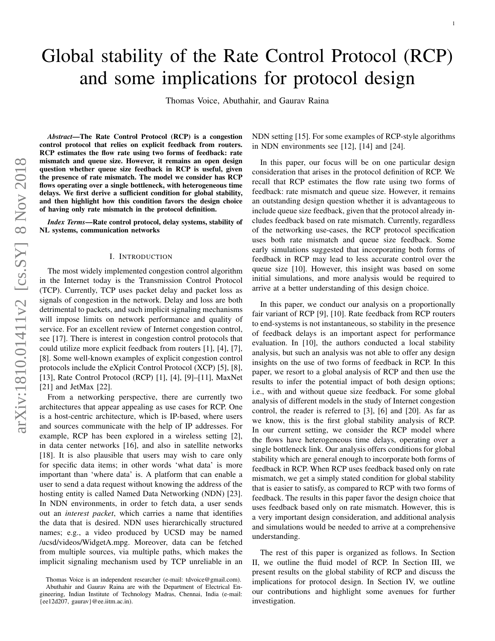# Global stability of the Rate Control Protocol (RCP) and some implications for protocol design

Thomas Voice, Abuthahir, and Gaurav Raina

*Abstract*—The Rate Control Protocol (RCP) is a congestion control protocol that relies on explicit feedback from routers. RCP estimates the flow rate using two forms of feedback: rate mismatch and queue size. However, it remains an open design question whether queue size feedback in RCP is useful, given the presence of rate mismatch. The model we consider has RCP flows operating over a single bottleneck, with heterogeneous time delays. We first derive a sufficient condition for global stability, and then highlight how this condition favors the design choice of having only rate mismatch in the protocol definition.

*Index Terms*—Rate control protocol, delay systems, stability of NL systems, communication networks

#### I. INTRODUCTION

The most widely implemented congestion control algorithm in the Internet today is the Transmission Control Protocol (TCP). Currently, TCP uses packet delay and packet loss as signals of congestion in the network. Delay and loss are both detrimental to packets, and such implicit signaling mechanisms will impose limits on network performance and quality of service. For an excellent review of Internet congestion control, see [17]. There is interest in congestion control protocols that could utilize more explicit feedback from routers [1], [4], [7], [8]. Some well-known examples of explicit congestion control protocols include the eXplicit Control Protocol (XCP) [5], [8], [13], Rate Control Protocol (RCP) [1], [4], [9]-[11], MaxNet [21] and JetMax [22].

From a networking perspective, there are currently two architectures that appear appealing as use cases for RCP. On e is a host-centric architecture, which is IP-based, where users and sources communicate with the help of IP addresses. For example, RCP has been explored in a wireless setting [2], in data center networks [16], and also in satellite networks [18]. It is also plausible that users may wish to care only for specific data items; in other words 'what data' is more important than 'where data' is. A platform that can enable a user to send a data request without knowing the address of the hosting entity is called Named Data Networking (NDN) [23]. In NDN environments, in order to fetch data, a user sends out an *interest packet*, which carries a name that identifies the data that is desired. NDN uses hierarchically structure d names; e.g., a video produced by UCSD may be named /ucsd/videos/WidgetA.mpg. Moreover, data can be fetched from multiple sources, via multiple paths, which makes the implicit signaling mechanism used by TCP unreliable in an

NDN setting [15]. For some examples of RCP-style algorithms in NDN environments see [12], [14] and [24].

In this paper, our focus will be on one particular design consideration that arises in the protocol definition of RCP. We recall that RCP estimates the flow rate using two forms of feedback: rate mismatch and queue size. However, it remains an outstanding design question whether it is advantageous t o include queue size feedback, given that the protocol already includes feedback based on rate mismatch. Currently, regardless of the networking use-cases, the RCP protocol specification uses both rate mismatch and queue size feedback. Some early simulations suggested that incorporating both forms of feedback in RCP may lead to less accurate control over the queue size [10]. However, this insight was based on some initial simulations, and more analysis would be required to arrive at a better understanding of this design choice.

In this paper, we conduct our analysis on a proportionally fair variant of RCP [9], [10]. Rate feedback from RCP routers to end-systems is not instantaneous, so stability in the presence of feedback delays is an important aspect for performance evaluation. In [10], the authors conducted a local stability analysis, but such an analysis was not able to offer any desig n insights on the use of two forms of feedback in RCP. In this paper, we resort to a global analysis of RCP and then use the results to infer the potential impact of both design options; i.e., with and without queue size feedback. For some global analysis of different models in the study of Internet congestion control, the reader is referred to [3], [6] and [20]. As far as we know, this is the first global stability analysis of RCP. In our current setting, we consider the RCP model where the flows have heterogeneous time delays, operating over a single bottleneck link. Our analysis offers conditions for global stability which are general enough to incorporate both forms of feedback in RCP. When RCP uses feedback based only on rate mismatch, we get a simply stated condition for global stability that is easier to satisfy, as compared to RCP with two forms of feedback. The results in this paper favor the design choice that uses feedback based only on rate mismatch. However, this is a very important design consideration, and additional analysis and simulations would be needed to arrive at a comprehensive understanding.

The rest of this paper is organized as follows. In Section II, we outline the fluid model of RCP. In Section III, we present results on the global stability of RCP and discuss th e implications for protocol design. In Section IV, we outline our contributions and highlight some avenues for further investigation.

Thomas Voice is an independent researcher (e-mail: tdvoice@gmail.com). Abuthahir and Gaurav Raina are with the Department of Electrical Engineering, Indian Institute of Technology Madras, Chennai, India (e-mail: {ee12d207, gaurav}@ee.iitm.ac.in).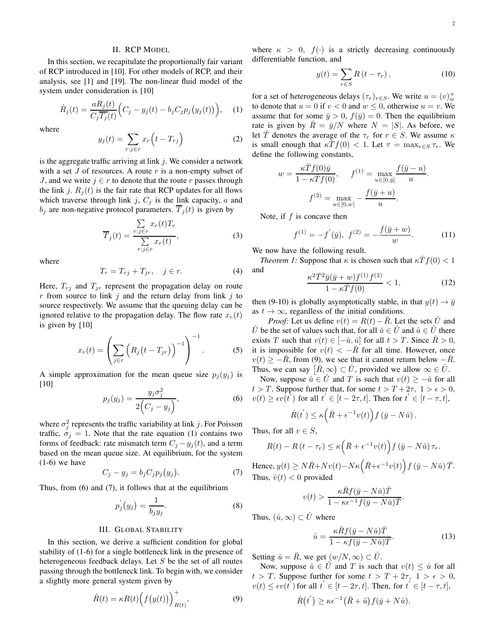# II. RCP MODEL

In this section, we recapitulate the proportionally fair variant of RCP introduced in [10]. For other models of RCP, and their analysis, see [1] and [19]. The non-linear fluid model of the system under consideration is [10]

$$
\dot{R}_j(t) = \frac{aR_j(t)}{C_j \overline{T_j}(t)} \Big( C_j - y_j(t) - b_j C_j p_j(y_j(t)) \Big), \quad (1)
$$

where

$$
y_j(t) = \sum_{r:j \in r} x_r \left( t - T_{rj} \right) \tag{2}
$$

is the aggregate traffic arriving at link  $j$ . We consider a network with a set  $J$  of resources. A route  $r$  is a non-empty subset of J, and we write  $j \in r$  to denote that the route r passes through the link j.  $R_j(t)$  is the fair rate that RCP updates for all flows which traverse through link j,  $C_j$  is the link capacity, a and  $b_j$  are non-negative protocol parameters.  $\overline{T}_j(t)$  is given by

$$
\overline{T}_j(t) = \frac{\sum_{r:j \in r} x_r(t) T_r}{\sum_{r:j \in r} x_r(t)},
$$
\n(3)

where

$$
T_r = T_{rj} + T_{jr}, \quad j \in r. \tag{4}
$$

Here,  $T_{rj}$  and  $T_{jr}$  represent the propagation delay on route r from source to link j and the return delay from link j to source respectively. We assume that the queuing delay can be ignored relative to the propagation delay. The flow rate  $x_r(t)$ is given by [10]

$$
x_r(t) = \left(\sum_{j \in r} \left(R_j\left(t - T_{jr}\right)\right)^{-1}\right)^{-1}.\tag{5}
$$

A simple approximation for the mean queue size  $p_j(y_j)$  is [10]

$$
p_j(y_j) = \frac{y_j \sigma_j^2}{2(C_j - y_j)},\tag{6}
$$

where  $\sigma_j^2$  represents the traffic variability at link j. For Poisson traffic,  $\sigma_j = 1$ . Note that the rate equation (1) contains two forms of feedback: rate mismatch term  $C_j - y_j(t)$ , and a term based on the mean queue size. At equilibrium, for the system  $(1-6)$  we have

$$
C_j - y_j = b_j C_j p_j(y_j). \tag{7}
$$

Thus, from (6) and (7), it follows that at the equilibrium

$$
p_j^{'}(y_j) = \frac{1}{b_j y_j}.\tag{8}
$$

## III. GLOBAL STABILITY

In this section, we derive a sufficient condition for global stability of (1-6) for a single bottleneck link in the presence of heterogeneous feedback delays. Let  $S$  be the set of all routes passing through the bottleneck link. To begin with, we consider a slightly more general system given by

$$
\dot{R}(t) = \kappa R(t) \Big( f\big(y(t)\big) \Big)_{R(t)}^{+},\tag{9}
$$

where  $\kappa > 0$ ,  $f(\cdot)$  is a strictly decreasing continuously differentiable function, and

$$
y(t) = \sum_{r \in S} R(t - \tau_r), \qquad (10)
$$

for a set of heterogeneous delays  $(\tau_r)_{r \in S}$ . We write  $u = (v)_w^+$ to denote that  $u = 0$  if  $v < 0$  and  $w \le 0$ , otherwise  $u = v$ . We assume that for some  $\bar{y} > 0$ ,  $f(\bar{y}) = 0$ . Then the equilibrium rate is given by  $\overline{R} = \overline{y}/N$  where  $N = |S|$ . As before, we let T denotes the average of the  $\tau_r$  for  $r \in S$ . We assume  $\kappa$ is small enough that  $\kappa \bar{T} f(0) < 1$ . Let  $\tau = \max_{r \in S} \tau_r$ . We define the following constants,

$$
w = \frac{\kappa \bar{T} f(0)\bar{y}}{1 - \kappa \bar{T} f(0)}, \qquad f^{(1)} = \max_{u \in [0, \bar{y}]} \frac{f(\bar{y} - u)}{u}.
$$

$$
f^{(2)} = \max_{u \in [0, w]} -\frac{f(\bar{y} + u)}{u}.
$$

Note, if  $f$  is concave then

$$
f^{(1)} = -f'(\bar{y}), \ f^{(2)} = -\frac{f(\bar{y} + w)}{w}.
$$
 (11)

We now have the following result.

 $\overline{a}$ 

*Theorem 1:* Suppose that  $\kappa$  is chosen such that  $\kappa \bar{T} f(0) < 1$ and

$$
\frac{x^2 \bar{T}^2 \bar{y} (\bar{y} + w) f^{(1)} f^{(2)}}{1 - \kappa \bar{T} f(0)} < 1,\tag{12}
$$

then (9-10) is globally asymptotically stable, in that  $y(t) \rightarrow \bar{y}$ as  $t \to \infty$ , regardless of the initial conditions.

*Proof:* Let us define  $v(t) = R(t) - \overline{R}$ . Let the sets  $\check{U}$  and  $\hat{U}$  be the set of values such that, for all  $\check{u} \in \check{U}$  and  $\hat{u} \in \hat{U}$  there exists T such that  $v(t) \in [-\check{u}, \hat{u}]$  for all  $t > T$ . Since  $\overline{R} > 0$ , it is impossible for  $v(t) < -R$  for all time. However, once  $v(t) \geq -\bar{R}$ , from (9), we see that it cannot return below  $-\bar{R}$ . Thus, we can say  $\left[\overline{R}, \infty\right) \subset \check{U}$ , provided we allow  $\infty \in \hat{U}$ .

Now, suppose  $\check{u} \in \check{U}$  and T is such that  $v(t) \geq -\check{u}$  for all  $t > T$ . Suppose further that, for some  $t > T + 2\tau$ ,  $1 > \epsilon > 0$ ,  $v(t) \geq \epsilon v(t')$  for all  $t' \in [t - 2\tau, t]$ . Then for  $t' \in [t - \tau, t]$ ,

$$
\dot{R}(t^{'}) \leq \kappa \left(\bar{R} + \epsilon^{-1} v(t)\right) f\left(\bar{y} - N\check{u}\right).
$$

Thus, for all  $r \in S$ ,

$$
R(t) - R(t - \tau_r) \le \kappa \left( \bar{R} + \epsilon^{-1} v(t) \right) f\left( \bar{y} - N\check{u} \right) \tau_r.
$$

Hence,  $y(t) \ge N\bar{R} + Nv(t) - N\kappa \left(\bar{R} + \epsilon^{-1}v(t)\right) f\left(\bar{y} - N\check{u}\right)\bar{T}.$ Thus,  $\dot{v}(t) < 0$  provided

$$
v(t) > \frac{\kappa \bar{R} f(\bar{y} - N\check{u}) \bar{T}}{1 - \kappa \epsilon^{-1} f(\bar{y} - N\check{u}) \bar{T}}.
$$

Thus,  $(\hat{u}, \infty) \subset \hat{U}$  where

$$
\hat{u} = \frac{\kappa \bar{R} f(\bar{y} - N\check{u}) \bar{T}}{1 - \kappa f(\bar{y} - N\check{u}) \bar{T}}.
$$
\n(13)

Setting  $\check{u} = \bar{R}$ , we get  $(w/N, \infty) \subset \hat{U}$ .

Now, suppose  $\hat{u} \in \hat{U}$  and T is such that  $v(t) \leq \hat{u}$  for all  $t > T$ . Suppose further for some  $t > T + 2\tau$ ,  $1 > \epsilon > 0$ ,  $v(t) \le \epsilon v(t)$  for all  $t \in [t - 2\tau, t]$ . Then, for  $t \in [t - \tau, t]$ ,

$$
\dot{R}(t^{'}) \geq \kappa \epsilon^{-1} (\bar{R} + \hat{u}) f(\bar{y} + N\hat{u}).
$$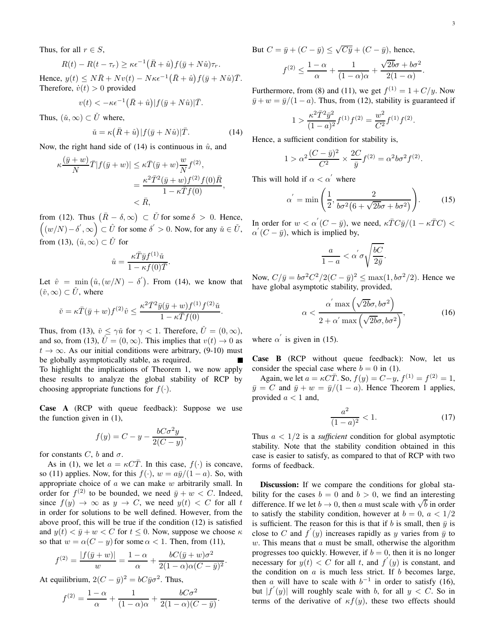Thus, for all  $r \in S$ ,

$$
R(t) - R(t - \tau_r) \ge \kappa \epsilon^{-1} (\bar{R} + \hat{u}) f(\bar{y} + N\hat{u}) \tau_r.
$$

Hence,  $y(t) \le N\overline{R} + Nv(t) - N\kappa\epsilon^{-1}(\overline{R} + \hat{u})f(\overline{y} + N\hat{u})\overline{T}$ . Therefore,  $\dot{v}(t) > 0$  provided

$$
v(t) < -\kappa \epsilon^{-1} (\bar{R} + \hat{u}) |f(\bar{y} + N\hat{u})| \bar{T}.
$$

Thus,  $(\check{u}, \infty) \subset \check{U}$  where,

$$
\check{u} = \kappa \left( \bar{R} + \hat{u} \right) | f(\bar{y} + N\hat{u}) | \bar{T}.
$$
 (14)

Now, the right hand side of (14) is continuous in  $\hat{u}$ , and

$$
\kappa \frac{(\bar{y}+w)}{N} \bar{T} |f(\bar{y}+w)| \leq \kappa \bar{T}(\bar{y}+w) \frac{w}{N} f^{(2)},
$$
  
= 
$$
\frac{\kappa^2 \bar{T}^2 (\bar{y}+w) f^{(2)} f(0) \bar{R}}{1 - \kappa \bar{T} f(0)},
$$
  

$$
< \bar{R},
$$

from (12). Thus  $(\bar{R} - \delta, \infty) \subset \check{U}$  for some  $\delta > 0$ . Hence,  $((w/N)-\delta', \infty) \subset \hat{U}$  for some  $\delta' > 0$ . Now, for any  $\check{u} \in \check{U}$ , from (13),  $(\hat{u}, \infty) \subset \hat{U}$  for

$$
\hat{u} = \frac{\kappa \bar{T} \bar{y} f^{(1)} \check{u}}{1 - \kappa f(0) \bar{T}}.
$$

Let  $\hat{v} = \min_{\mathbf{x}} (\hat{u}, (w/N) - \delta')$ . From (14), we know that  $(\check{v}, \infty) \subset \check{U}$ , where

$$
\check{v} = \kappa \bar{T}(\bar{y} + w) f^{(2)} \hat{v} \le \frac{\kappa^2 \bar{T}^2 \bar{y}(\bar{y} + w) f^{(1)} f^{(2)} \check{u}}{1 - \kappa \bar{T} f(0)}.
$$

Thus, from (13),  $\check{v} \leq \gamma \check{u}$  for  $\gamma < 1$ . Therefore,  $\check{U} = (0, \infty)$ , and so, from (13),  $\hat{U} = (0, \infty)$ . This implies that  $v(t) \rightarrow 0$  as  $t \to \infty$ . As our initial conditions were arbitrary, (9-10) must be globally asymptotically stable, as required. To highlight the implications of Theorem 1, we now apply these results to analyze the global stability of RCP by choosing appropriate functions for  $f(\cdot)$ .

Case A (RCP with queue feedback): Suppose we use the function given in (1),

$$
f(y) = C - y - \frac{bC\sigma^2 y}{2(C - y)},
$$

for constants C, b and  $\sigma$ .

As in (1), we let  $a = \kappa C \overline{T}$ . In this case,  $f(\cdot)$  is concave, so (11) applies. Now, for this  $f(\cdot)$ ,  $w = a\bar{y}/(1 - a)$ . So, with appropriate choice of  $a$  we can make  $w$  arbitrarily small. In order for  $f^{(2)}$  to be bounded, we need  $\bar{y} + w < C$ . Indeed, since  $f(y) \to \infty$  as  $y \to C$ , we need  $y(t) < C$  for all t in order for solutions to be well defined. However, from the above proof, this will be true if the condition (12) is satisfied and  $y(t) < \bar{y} + w < C$  for  $t \le 0$ . Now, suppose we choose  $\kappa$ so that  $w = \alpha(C - y)$  for some  $\alpha < 1$ . Then, from (11),

$$
f^{(2)} = \frac{|f(\bar{y} + w)|}{w} = \frac{1 - \alpha}{\alpha} + \frac{bC(\bar{y} + w)\sigma^2}{2(1 - \alpha)\alpha(C - \bar{y})^2}
$$

.

At equilibrium,  $2(C - \bar{y})^2 = bC\bar{y}\sigma^2$ . Thus,

$$
f^{(2)} = \frac{1-\alpha}{\alpha} + \frac{1}{(1-\alpha)\alpha} + \frac{bC\sigma^2}{2(1-\alpha)(C-\bar{y})}.
$$

But  $C = \bar{y} + (C - \bar{y}) \le \sqrt{C\bar{y}} + (C - \bar{y})$ , hence,

$$
f^{(2)} \le \frac{1-\alpha}{\alpha} + \frac{1}{(1-\alpha)\alpha} + \frac{\sqrt{2b}\sigma + b\sigma^2}{2(1-\alpha)}.
$$

Furthermore, from (8) and (11), we get  $f^{(1)} = 1 + C/y$ . Now  $\bar{y} + w = \bar{y}/(1 - a)$ . Thus, from (12), stability is guaranteed if

$$
1 > \frac{\kappa^2 \bar{T}^2 \bar{y}^2}{(1-a)^2} f^{(1)} f^{(2)} = \frac{w^2}{C^2} f^{(1)} f^{(2)}.
$$

Hence, a sufficient condition for stability is,

$$
1 > \alpha^2 \frac{(C - \bar{y})^2}{C^2} \times \frac{2C}{\bar{y}} f^{(2)} = \alpha^2 b \sigma^2 f^{(2)}.
$$

This will hold if  $\alpha < \alpha'$  where

$$
\alpha^{'} = \min\left(\frac{1}{2}, \frac{2}{b\sigma^2(6+\sqrt{2b}\sigma+b\sigma^2)}\right).
$$
 (15)

In order for  $w < \alpha'(C - \bar{y})$ , we need,  $\kappa \bar{T} C \bar{y}/(1 - \kappa \bar{T} C) <$  $\alpha'(C - \bar{y})$ , which is implied by,

$$
\frac{a}{1-a} < \alpha' \sigma \sqrt{\frac{bC}{2\bar{y}}}.
$$

Now,  $C/\bar{y} = b\sigma^2 C^2/2(C-\bar{y})^2 \le \max(1, b\sigma^2/2)$ . Hence we have global asymptotic stability, provided,

$$
\alpha < \frac{\alpha' \max\left(\sqrt{2b}\sigma, b\sigma^2\right)}{2 + \alpha' \max\left(\sqrt{2b}\sigma, b\sigma^2\right)},\tag{16}
$$

where  $\alpha'$  is given in (15).

Case B (RCP without queue feedback): Now, let us consider the special case where  $b = 0$  in (1).

Again, we let  $a = \kappa C \overline{T}$ . So,  $f(y) = C - y$ ,  $f^{(1)} = f^{(2)} = 1$ ,  $\bar{y} = C$  and  $\bar{y} + w = \bar{y}/(1 - a)$ . Hence Theorem 1 applies, provided  $a < 1$  and,

$$
\frac{a^2}{(1-a)^2} < 1. \tag{17}
$$

Thus  $a < 1/2$  is a *sufficient* condition for global asymptotic stability. Note that the stability condition obtained in this case is easier to satisfy, as compared to that of RCP with two forms of feedback.

Discussion: If we compare the conditions for global stability for the cases  $b = 0$  and  $b > 0$ , we find an interesting difference. If we let  $b \to 0$ , then a must scale with  $\sqrt{b}$  in order to satisfy the stability condition, however at  $b = 0$ ,  $a < 1/2$ is sufficient. The reason for this is that if b is small, then  $\bar{y}$  is close to C and  $f'(y)$  increases rapidly as y varies from  $\overline{y}$  to  $w$ . This means that  $a$  must be small, otherwise the algorithm progresses too quickly. However, if  $b = 0$ , then it is no longer necessary for  $y(t) < C$  for all t, and  $f'(y)$  is constant, and the condition on  $a$  is much less strict. If  $b$  becomes large, then *a* will have to scale with  $b^{-1}$  in order to satisfy (16), but  $|f'(y)|$  will roughly scale with b, for all  $y < C$ . So in terms of the derivative of  $\kappa f(y)$ , these two effects should